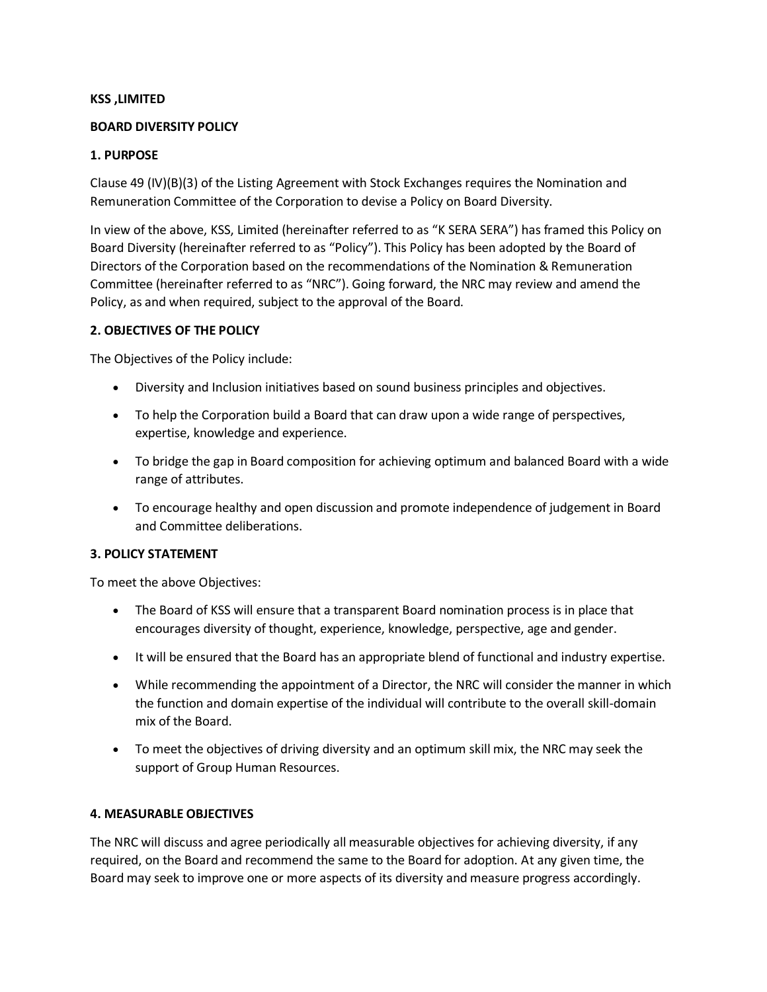### **KSS ,LIMITED**

#### **BOARD DIVERSITY POLICY**

### **1. PURPOSE**

Clause 49 (IV)(B)(3) of the Listing Agreement with Stock Exchanges requires the Nomination and Remuneration Committee of the Corporation to devise a Policy on Board Diversity.

In view of the above, KSS, Limited (hereinafter referred to as "K SERA SERA") has framed this Policy on Board Diversity (hereinafter referred to as "Policy"). This Policy has been adopted by the Board of Directors of the Corporation based on the recommendations of the Nomination & Remuneration Committee (hereinafter referred to as "NRC"). Going forward, the NRC may review and amend the Policy, as and when required, subject to the approval of the Board.

### **2. OBJECTIVES OF THE POLICY**

The Objectives of the Policy include:

- Diversity and Inclusion initiatives based on sound business principles and objectives.
- To help the Corporation build a Board that can draw upon a wide range of perspectives, expertise, knowledge and experience.
- To bridge the gap in Board composition for achieving optimum and balanced Board with a wide range of attributes.
- To encourage healthy and open discussion and promote independence of judgement in Board and Committee deliberations.

## **3. POLICY STATEMENT**

To meet the above Objectives:

- The Board of KSS will ensure that a transparent Board nomination process is in place that encourages diversity of thought, experience, knowledge, perspective, age and gender.
- It will be ensured that the Board has an appropriate blend of functional and industry expertise.
- While recommending the appointment of a Director, the NRC will consider the manner in which the function and domain expertise of the individual will contribute to the overall skill-domain mix of the Board.
- To meet the objectives of driving diversity and an optimum skill mix, the NRC may seek the support of Group Human Resources.

#### **4. MEASURABLE OBJECTIVES**

The NRC will discuss and agree periodically all measurable objectives for achieving diversity, if any required, on the Board and recommend the same to the Board for adoption. At any given time, the Board may seek to improve one or more aspects of its diversity and measure progress accordingly.